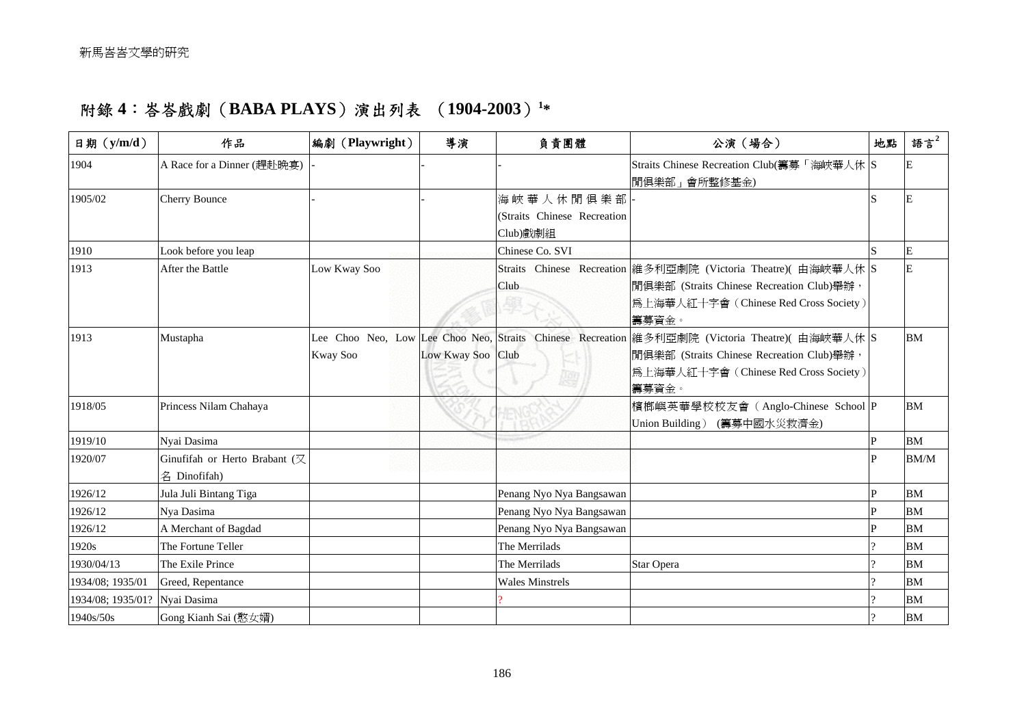## 附錄 **4**:峇峇戲劇(**BABA PLAYS**)演出列表 (**1904-2003**)**[1\\*](#page-4-0)**

| 日期 (y/m/d)        | 作品                                            | 編劇 (Playwright) | 導演                | 負責團體                                                 | 公演(場合)                                                                                                                                                                                         | 地點 | 語言 $2$    |
|-------------------|-----------------------------------------------|-----------------|-------------------|------------------------------------------------------|------------------------------------------------------------------------------------------------------------------------------------------------------------------------------------------------|----|-----------|
| 1904              | A Race for a Dinner (趕赴晩宴)                    |                 |                   |                                                      | Straits Chinese Recreation Club(籌募「海峽華人休 S<br> 閒俱樂部」會所整修基金)                                                                                                                                    |    |           |
| 1905/02           | <b>Cherry Bounce</b>                          |                 |                   | 海峽華人休閒俱樂部<br>(Straits Chinese Recreation<br>Club)戲劇組 |                                                                                                                                                                                                |    |           |
| 1910              | Look before you leap                          |                 |                   | Chinese Co. SVI                                      |                                                                                                                                                                                                |    | E         |
| 1913              | After the Battle                              | Low Kway Soo    |                   | Club                                                 | Straits Chinese Recreation 維多利亞劇院 (Victoria Theatre) (由海峽華人休 S<br> 閒俱樂部 (Straits Chinese Recreation Club)舉辦,<br>為上海華人紅十字會 (Chinese Red Cross Society)<br>籌募資金。                                 |    | E         |
| 1913              | Mustapha                                      | Kway Soo        | Low Kway Soo Club | ky                                                   | Lee Choo Neo, Low Lee Choo Neo, Straits Chinese Recreation 維多利亞劇院 (Victoria Theatre)( 由海峽華人休 S<br> 閒俱樂部 (Straits Chinese Recreation Club)舉辦,<br>為上海華人紅十字會 (Chinese Red Cross Society)<br>籌募資金。 |    | BM        |
| 1918/05           | Princess Nilam Chahaya                        |                 |                   |                                                      | 檳榔嶼英華學校校友會 (Anglo-Chinese School P<br>Union Building) (籌募中國水災救濟金)                                                                                                                              |    | <b>BM</b> |
| 1919/10           | Nyai Dasima                                   |                 |                   |                                                      |                                                                                                                                                                                                | P  | BM        |
| 1920/07           | Ginufifah or Herto Brabant (又<br>名 Dinofifah) |                 |                   |                                                      |                                                                                                                                                                                                |    | BM/M      |
| 1926/12           | Jula Juli Bintang Tiga                        |                 |                   | Penang Nyo Nya Bangsawan                             |                                                                                                                                                                                                | IP | <b>BM</b> |
| 1926/12           | Nya Dasima                                    |                 |                   | Penang Nyo Nya Bangsawan                             |                                                                                                                                                                                                |    | <b>BM</b> |
| 1926/12           | A Merchant of Bagdad                          |                 |                   | Penang Nyo Nya Bangsawan                             |                                                                                                                                                                                                |    | <b>BM</b> |
| 1920s             | The Fortune Teller                            |                 |                   | The Merrilads                                        |                                                                                                                                                                                                |    | <b>BM</b> |
| 1930/04/13        | The Exile Prince                              |                 |                   | The Merrilads                                        | Star Opera                                                                                                                                                                                     |    | <b>BM</b> |
| 1934/08; 1935/01  | Greed, Repentance                             |                 |                   | <b>Wales Minstrels</b>                               |                                                                                                                                                                                                |    | <b>BM</b> |
| 1934/08; 1935/01? | Nyai Dasima                                   |                 |                   |                                                      |                                                                                                                                                                                                |    | <b>BM</b> |
| 1940s/50s         | Gong Kianh Sai (憨女婿)                          |                 |                   |                                                      |                                                                                                                                                                                                |    | <b>BM</b> |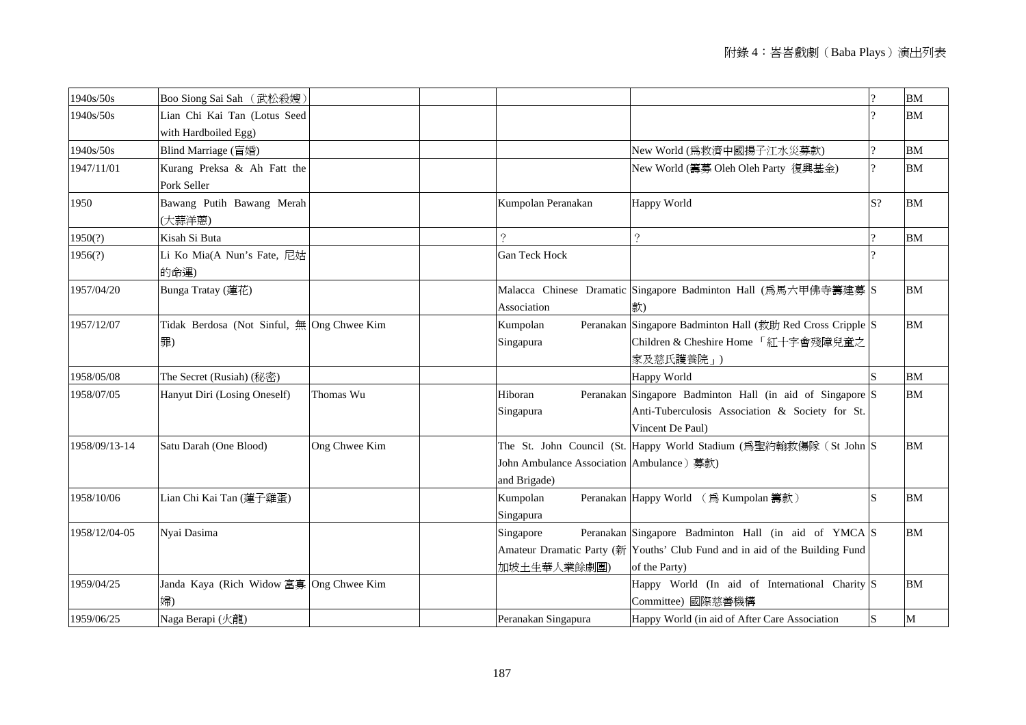| 1940s/50s     | Boo Siong Sai Sah (武松殺嫂)                         |               |                                                           |                                                                                                                                                      | $\Omega$  | <b>BM</b>     |
|---------------|--------------------------------------------------|---------------|-----------------------------------------------------------|------------------------------------------------------------------------------------------------------------------------------------------------------|-----------|---------------|
| 1940s/50s     | Lian Chi Kai Tan (Lotus Seed                     |               |                                                           |                                                                                                                                                      |           | <b>BM</b>     |
|               | with Hardboiled Egg)                             |               |                                                           |                                                                                                                                                      |           |               |
| 1940s/50s     | Blind Marriage (盲婚)                              |               |                                                           | New World (為救濟中國揚子江水災募款)                                                                                                                             |           | $\mathbf{BM}$ |
| 1947/11/01    | Kurang Preksa & Ah Fatt the<br>Pork Seller       |               |                                                           | New World (籌募 Oleh Oleh Party 復興基金)                                                                                                                  |           | <b>BM</b>     |
| 1950          | Bawang Putih Bawang Merah<br>(大蒜洋蔥)              |               | Kumpolan Peranakan                                        | Happy World                                                                                                                                          | S?        | BM            |
| 1950(?)       | Kisah Si Buta                                    |               | $\gamma$                                                  | $\gamma$                                                                                                                                             | 9         | <b>BM</b>     |
| 1956(?)       | Li Ko Mia(A Nun's Fate, 尼姑<br>的命運)               |               | Gan Teck Hock                                             |                                                                                                                                                      |           |               |
| 1957/04/20    | Bunga Tratay (蓮花)                                |               | Association                                               | Malacca Chinese Dramatic Singapore Badminton Hall (為馬六甲佛寺籌建募 S<br>款)                                                                                 |           | <b>BM</b>     |
| 1957/12/07    | Tidak Berdosa (Not Sinful, 無 Ong Chwee Kim<br>罪) |               | Kumpolan<br>Singapura                                     | Peranakan Singapore Badminton Hall (救助 Red Cross Cripple S<br>Children & Cheshire Home 「紅十字會殘障兒童之<br>家及慈氏護養院」)                                       |           | <b>BM</b>     |
| 1958/05/08    | The Secret (Rusiah) (秘密)                         |               |                                                           | Happy World                                                                                                                                          |           | <b>BM</b>     |
| 1958/07/05    | Hanyut Diri (Losing Oneself)                     | Thomas Wu     | Hiboran<br>Singapura                                      | Peranakan Singapore Badminton Hall (in aid of Singapore S<br>Anti-Tuberculosis Association & Society for St.<br>Vincent De Paul)                     |           | <b>BM</b>     |
| 1958/09/13-14 | Satu Darah (One Blood)                           | Ong Chwee Kim | John Ambulance Association Ambulance) 募款)<br>and Brigade) | The St. John Council (St. Happy World Stadium (為聖約翰救傷隊 (St John S                                                                                    |           | <b>BM</b>     |
| 1958/10/06    | Lian Chi Kai Tan (蓮子雞蛋)                          |               | Kumpolan<br>Singapura                                     | Peranakan Happy World (為 Kumpolan 籌款)                                                                                                                |           | BM            |
| 1958/12/04-05 | Nyai Dasima                                      |               | Singapore<br>加坡土生華人業餘劇團)                                  | Peranakan Singapore Badminton Hall (in aid of YMCA S<br>Amateur Dramatic Party (新 Youths' Club Fund and in aid of the Building Fund<br>of the Party) |           | <b>BM</b>     |
| 1959/04/25    | Janda Kaya (Rich Widow 富寡 Ong Chwee Kim<br>婦)    |               |                                                           | Happy World (In aid of International Charity S<br>Committee) 國際慈善機構                                                                                  |           | BM            |
| 1959/06/25    | Naga Berapi (火龍)                                 |               | Peranakan Singapura                                       | Happy World (in aid of After Care Association                                                                                                        | ${\bf S}$ | M             |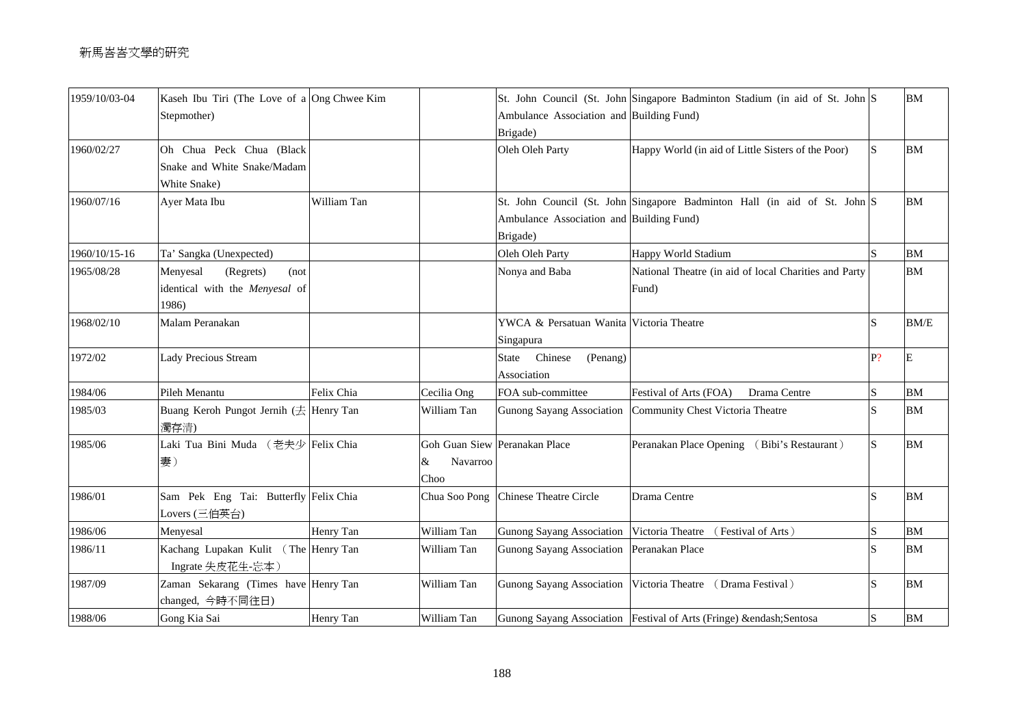| 1959/10/03-04 | Kaseh Ibu Tiri (The Love of a Ong Chwee Kim<br>Stepmother)               |             |                       | Ambulance Association and Building Fund)              | St. John Council (St. John Singapore Badminton Stadium (in aid of St. John S |                         | BM        |
|---------------|--------------------------------------------------------------------------|-------------|-----------------------|-------------------------------------------------------|------------------------------------------------------------------------------|-------------------------|-----------|
|               |                                                                          |             |                       | Brigade)                                              |                                                                              |                         |           |
| 1960/02/27    | Oh Chua Peck Chua (Black<br>Snake and White Snake/Madam<br>White Snake)  |             |                       | Oleh Oleh Party                                       | Happy World (in aid of Little Sisters of the Poor)                           | <sub>S</sub>            | <b>BM</b> |
| 1960/07/16    | Ayer Mata Ibu                                                            | William Tan |                       | Ambulance Association and Building Fund)<br>Brigade)  | St. John Council (St. John Singapore Badminton Hall (in aid of St. John S    |                         | <b>BM</b> |
| 1960/10/15-16 | Ta' Sangka (Unexpected)                                                  |             |                       | Oleh Oleh Party                                       | Happy World Stadium                                                          |                         | <b>BM</b> |
| 1965/08/28    | Menyesal<br>(Regrets)<br>(not<br>identical with the Menyesal of<br>1986) |             |                       | Nonya and Baba                                        | National Theatre (in aid of local Charities and Party<br>Fund)               |                         | <b>BM</b> |
| 1968/02/10    | Malam Peranakan                                                          |             |                       | YWCA & Persatuan Wanita Victoria Theatre<br>Singapura |                                                                              | S                       | BM/E      |
| 1972/02       | <b>Lady Precious Stream</b>                                              |             |                       | State<br>Chinese<br>(Penang)<br>Association           |                                                                              | P?                      | E         |
| 1984/06       | Pileh Menantu                                                            | Felix Chia  | Cecilia Ong           | FOA sub-committee                                     | Festival of Arts (FOA)<br>Drama Centre                                       | $\mathbf S$             | <b>BM</b> |
| 1985/03       | Buang Keroh Pungot Jernih (去 Henry Tan<br>濁存清)                           |             | William Tan           | Gunong Sayang Association                             | Community Chest Victoria Theatre                                             | S                       | <b>BM</b> |
| 1985/06       | Laki Tua Bini Muda (老夫少 Felix Chia<br>妻)                                 |             | Navarroo<br>&<br>Choo | Goh Guan Siew Peranakan Place                         | Peranakan Place Opening (Bibi's Restaurant)                                  | <sub>S</sub>            | <b>BM</b> |
| 1986/01       | Sam Pek Eng Tai: Butterfly Felix Chia<br>Lovers (三伯英台)                   |             | Chua Soo Pong         | <b>Chinese Theatre Circle</b>                         | Drama Centre                                                                 | $\overline{S}$          | <b>BM</b> |
| 1986/06       | Menyesal                                                                 | Henry Tan   | William Tan           | <b>Gunong Sayang Association</b>                      | Victoria Theatre<br>(Festival of Arts)                                       | S                       | <b>BM</b> |
| 1986/11       | Kachang Lupakan Kulit (The Henry Tan<br>Ingrate 失皮花生-忘本)                 |             | William Tan           | <b>Gunong Sayang Association</b>                      | Peranakan Place                                                              | $\overline{\mathbf{S}}$ | <b>BM</b> |
| 1987/09       | Zaman Sekarang (Times have Henry Tan<br>changed, 今時不同往日)                 |             | William Tan           | <b>Gunong Sayang Association</b>                      | Victoria Theatre<br>(Drama Festival)                                         |                         | BM        |
| 1988/06       | Gong Kia Sai                                                             | Henry Tan   | William Tan           |                                                       | Gunong Sayang Association   Festival of Arts (Fringe) & endash; Sentosa      | S                       | <b>BM</b> |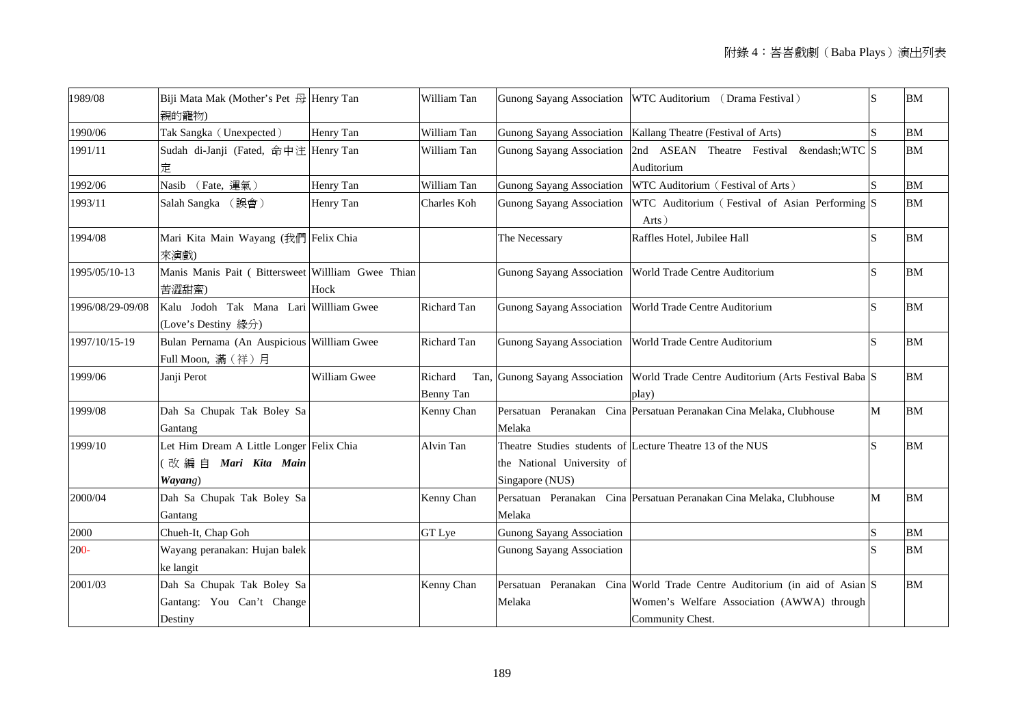| 1989/08          | Biji Mata Mak (Mother's Pet 母 Henry Tan<br>親的寵物)                          |              | William Tan                  |                                               | Gunong Sayang Association WTC Auditorium (Drama Festival)                                                                                   | S            | <b>BM</b> |
|------------------|---------------------------------------------------------------------------|--------------|------------------------------|-----------------------------------------------|---------------------------------------------------------------------------------------------------------------------------------------------|--------------|-----------|
| 1990/06          | Tak Sangka (Unexpected)                                                   | Henry Tan    | William Tan                  |                                               | Gunong Sayang Association   Kallang Theatre (Festival of Arts)                                                                              |              | BM        |
| 1991/11          | Sudah di-Janji (Fated, 命中注 Henry Tan<br>定                                 |              | William Tan                  |                                               | Gunong Sayang Association 2nd ASEAN Theatre Festival &endash WTC S<br>Auditorium                                                            |              | <b>BM</b> |
| 1992/06          | Nasib (Fate, 運氣)                                                          | Henry Tan    | William Tan                  | <b>Gunong Sayang Association</b>              | WTC Auditorium (Festival of Arts)                                                                                                           |              | <b>BM</b> |
| 1993/11          | Salah Sangka (誤會)                                                         | Henry Tan    | Charles Koh                  | <b>Gunong Sayang Association</b>              | WTC Auditorium (Festival of Asian Performing S<br>Arts)                                                                                     |              | BM        |
| 1994/08          | Mari Kita Main Wayang (我們 Felix Chia<br>來演戲)                              |              |                              | The Necessary                                 | Raffles Hotel, Jubilee Hall                                                                                                                 | <sub>S</sub> | <b>BM</b> |
| 1995/05/10-13    | Manis Manis Pait ( Bittersweet Willliam Gwee Thian<br>苦澀甜蜜)               | Hock         |                              |                                               | Gunong Sayang Association   World Trade Centre Auditorium                                                                                   | S            | BM        |
| 1996/08/29-09/08 | Kalu Jodoh Tak Mana Lari Willliam Gwee<br>(Love's Destiny 緣分)             |              | Richard Tan                  |                                               | Gunong Sayang Association   World Trade Centre Auditorium                                                                                   | S            | <b>BM</b> |
| 1997/10/15-19    | Bulan Pernama (An Auspicious Willliam Gwee<br>Full Moon, 滿(祥)月            |              | Richard Tan                  | <b>Gunong Sayang Association</b>              | World Trade Centre Auditorium                                                                                                               | S            | <b>BM</b> |
| 1999/06          | Janji Perot                                                               | William Gwee | Richard<br>Tan,<br>Benny Tan |                                               | Gunong Sayang Association World Trade Centre Auditorium (Arts Festival Baba S<br>play)                                                      |              | <b>BM</b> |
| 1999/08          | Dah Sa Chupak Tak Boley Sa<br>Gantang                                     |              | Kenny Chan                   | Melaka                                        | Persatuan Peranakan Cina Persatuan Peranakan Cina Melaka, Clubhouse                                                                         | M            | <b>BM</b> |
| 1999/10          | Let Him Dream A Little Longer Felix Chia<br>改編自 Mari Kita Main<br>Wayang) |              | Alvin Tan                    | the National University of<br>Singapore (NUS) | Theatre Studies students of Lecture Theatre 13 of the NUS                                                                                   | S            | <b>BM</b> |
| 2000/04          | Dah Sa Chupak Tak Boley Sa<br>Gantang                                     |              | Kenny Chan                   | Melaka                                        | Persatuan Peranakan Cina Persatuan Peranakan Cina Melaka, Clubhouse                                                                         | M            | <b>BM</b> |
| 2000             | Chueh-It, Chap Goh                                                        |              | GT Lye                       | <b>Gunong Sayang Association</b>              |                                                                                                                                             | S            | <b>BM</b> |
| $200 -$          | Wayang peranakan: Hujan balek<br>ke langit                                |              |                              | <b>Gunong Sayang Association</b>              |                                                                                                                                             |              | BM        |
| 2001/03          | Dah Sa Chupak Tak Boley Sa<br>Gantang: You Can't Change<br>Destiny        |              | Kenny Chan                   | Melaka                                        | Persatuan Peranakan Cina World Trade Centre Auditorium (in aid of Asian S<br>Women's Welfare Association (AWWA) through<br>Community Chest. |              | <b>BM</b> |